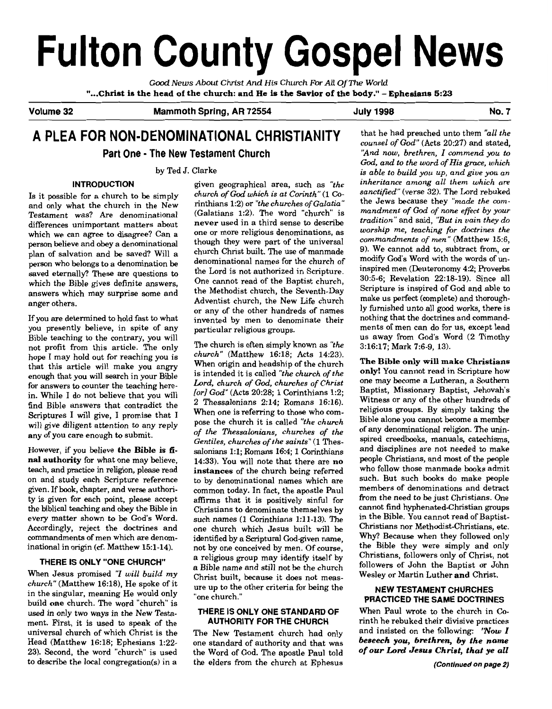# **Fulton County Gospel News**

*Good News About* **Christ** *And His Church For All* **Of The** *World*  "...Christ is the head of the church: and He is the Savior of the body." - Ephesians 5:23

Volume 32 **Mammoth Spring, AR 72554** July 1998 **No. 7** No. 7

# **A PLEA FOR NON-DENOMINATIONAL CHRISTIANITY** that he had preached unto them "all the **Part One - The New Testament Church** "And now, brethren, I commend you to

Testament was? Are denominational (Galatians 1:2). The word "church" is

you presently believe, in spite of any particular religious groups. ments of men can do for us, except lead<br>Bible teaching to the contrary, you will Bible teaching to the contrary, you will not profit from this article. The only The church is often simply known **as** "the 3:16:17; Mark 7:6-9, 13). hop I may hold out for reaching you is church" (Matthew 16:18; Acts 14:23).<br>
that this extials will make you anguy. When origin and headship of the church enough that you will search in your Bible is intended it is called "the church of the **church in Scripture 1999**<br> **Example 18**  *Lord, church of God, churches of Christ* any of you care enough to submit.

ty is given for each point, please accept affirms that it is positively sinful for Accordingly, reject the doctrines and one church which Jesus built will be

 $church''$  (Matthew 16:18), He spoke of it ure up to the other criteria for being the in the singular, meaning He would only  $v_{one}$  church." build one church. The word "church" is build one church."<br>build one church. The word "church" is **PRACTICED THE SAME DOCTRINES**<br> **PRACTICED THE SAME DOCTRINES IS ONLY ONE STANDARD OF** When Paul wrote to the church in Coused in only two ways in the New Testa-<br> **THERE IS ONLY ONE STANDARD OF**<br> **AUTHORITY FOR THE CHURCH**<br> **AUTHORITY FOR THE CHURCH** ment. First, it is used to speak of the **AUTHORITY FOR THE CHURCH** rinth he rebuked their divisive practices universal church of which Christ is the The New Testament church had only and insisted on the following: 'Now I universal church of which Christ is the The New Testament church had only Head (Matthew 16:18; Ephesians 1:22-<br> **Example 23)** Second the word "church" is used the Word of God The apostle Paul told of our Lord Jesus Christ, that ye all 23). Second, the word "church" is used the Word of God. The apostle Paul told to describe the local congregation(s) in a the elders from the church at Ephesus (Continued on page 2)

Is it possible for a church to be simply church of God which is at Corinth" (1 Co-<br>
inthiented abundance of Galatia" the Jews because they "made the comand only what the church in the New rinthians 1:2) or "the churches of Galatia" the Jews because they "made the com-<br>Colations 1:2) The word "church" is mandment of God of none effect by your restament was: Are denominational commences about never be and the tradition" and said, "But in vain they do differences unimportant matters about never used in a third sense to describe *tradition*" and said, "But in vain external disagree in the can agree of the capital control of the universal and the versions of metal one or more teaching for doctrines the which we can agree to disagree? Can a one or more religious denominations, as wors person believe and obey a denominational though they were part of the universal commandments of men (Matthew 15:6,<br>person believe and obey a denominational though they were part of the universal 9). We cannot add to, subtr plan of salvation and be saved? Will a church Christ built. The use of manmade  $\frac{9}{2}$ . We cannot add to, subtract from, or change of  $\frac{9}{2}$  modify God's Word with the words of unperson who belongs to a denominational names for the church of modify God's Word with the words of un-<br>person who belongs to a denomination be denominational names for the church of inspired men (Deuteronomy 4:2;<br>and a den saved eternally? These are questions to the Lord is not authorized in Scripture. inspired men  $(Deu$ ending 4.2, Proverbs which the Bible gives definite answers, One cannot read of the Baptist church,  $30:5-6$ ; Revelation 22:18-19). Since all which the Bible gives definite answers, the Methodist church the Seventh-Dev answers which may surprise some and the Methodist church, the Seventh-Day Scripture is inspired of God and able to<br>Adventist church, the New Life church make us perfect (complete) and thoroughanger others. Adventist church, the New Life church anger others.<br>
or any of the other hundreds of names

nope I may not out for reacning you is<br>that this article will make you angry when origin and headship of the church **The Bible only will make Christians**<br>is intended it is called "the church of the **only!** You cannot read enough that you will search in your Bible<br>for answers to counter the teaching here-<br> $Iord$ ; christ of God, church of God, church of God, church one may become a Lutheran, a Southern<br>metals of Christ Content of God, a Commun in. While I do not believe that you will  $[or] God"$  (Acts 20:28; 1 Corinthians 1:2; Baptist, Missionary Baptist, Jehovah's in. While I do not believe that you will  $[or] God"$  (Acts 20:28; 1 Corinthians 1:2; Witness or any of th find  $\frac{1}{2}$  messalonians 2:14; Romans 16:16). Witness or any of the other hundreds of find Bible answers that contradict the  $\frac{2}{\sqrt{2}}$  Thessalonians 2:14; Romans 16:16). Witness or any of the other hundreds of Scriptures I will give, I promise that I When one is referring to those who com-<br>Scriptures I will give, I promise that I nose the church it is called "the church. Bible alone you cannot become a member Scriptures I will give, I promise view the church it is called "the church Bible alone you cannot become a member<br>will give diligent attention to any reply of the These loning churches of the of any denominational religion of the Thessalonians, churches of the Gentiles, churches of the saints" (1 Thes- spired creedbooks, manuals, catechisms, However, if you believe **the Bible is fi** salonians 11:1; Romans 16:4; 1 Corinthians and disciplines are not needed to make **nal authority** for what one may believe, 14:33). You will note that there are **no people Christians**, and most of the people teach and practice in religion please read **instances** of the church being referred who follow teach, and practice in religion, please read **instances** of the church king referred who follow those manmade books admit on and study each Scripture reference to by denominational names which are such. But such books do make people<br>given If book chapter and verse authorial common todow In fost the enection Popul members of denominations and given. If book, chapter, and verse authori-<br>ty is given for each point, please accept affirms, that it is positively sinful for from the need to be just Christians. One the biblical teaching and obey the Bible in Christians to denominate themselves by cannot find hyphenated-Christian groups every matter shown to be God's Word. such names (1 Corinthians 1:11-13). The in the Bible. You cannot read of Baptist-<br>Accordingly reject the doctrines and one church which Issue built will be Christians nor Methodist-Chri commandments of men which are denom-<br>identified by a Scriptural God-given name, Why? Because when they followed only<br>inational in origin (of Matthew 15.1-14) ont by one conceived by men Of course the Bible they were simply inational in origin **(cf.** Matthew 15:l-14). not by one conceived by men. Of course, the Bible they were simply and only a religious group may identify itself by Christians, followers only of Christ, not<br>a Bible name and still not be the church followers of John the Baptist or John **THERE IS ONLY "ONE CHURCH"** a Bible name and still not be the church When Jesus promised "I will build my **Christ built, because it does not meas-** Wesley or Martin Luther and Christ.

counsel of God" (Acts 20:27) and stated, God, and to the word of His grace, which by Ted J. Clarke is able to build you up, and give you an **INTRODUCTION** given geographical area, such as  $'$ the *inheritance among all them which are*<br>and interval the shurch of God which is at Corinth" (1 Co. sanctified" (verse 32). The Lord rebuked ly furnished unto all good works, there is<br>nothing that the doctrines and command-If you are determined to hold fast to what invented by men to denominate their nothing that the doctrines and command-<br>ments of men can do for us, except lead

# **NEW TESTAMENT CHURCHES**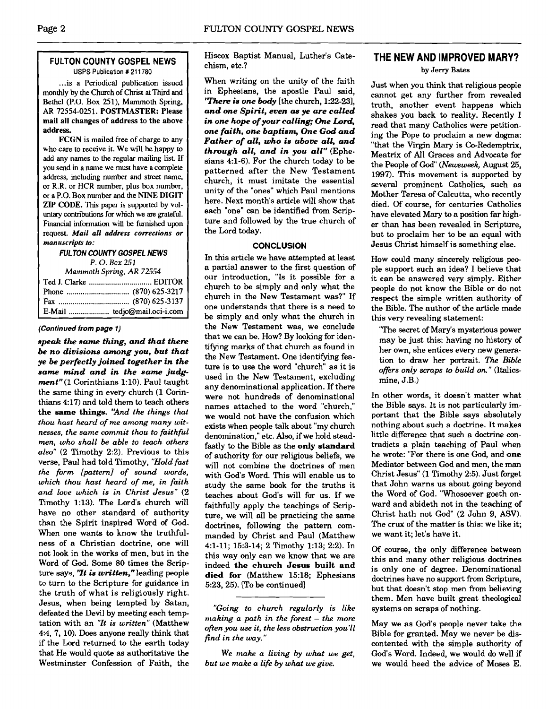#### **FULTON COUNTY GOSPEL NEWS USPS Publication** # **21 1780**

... is a Periodical publication issued monthly by the Church of Christ at Third and Bethel (P.O. Box 251). Mammoth Spring, AR 72554-0251. POSTMASTER: Please mail all changes of address to the above address.

FCGN is mailed **free** of charge to any who care to receive it. We will be happy to add any names to the regular mailing list If you send in a name we must have a complete address, including number and street name, or R.R. or HCR number, plus box number, or a P.O. Box number and the NINE DIGIT ZIP CODE. This paper is supported by voluntary contributions for which we are grateful. Financial information will be furnished upon request. *Mail all address corrections or manuscripts to:* 

#### **FULTON COUNTY GOSPEL NEWS**

**P.** 0. **Box 251** 

| Mammoth Spring, AR 72554 |                              |  |
|--------------------------|------------------------------|--|
|                          |                              |  |
|                          |                              |  |
|                          |                              |  |
|                          | E-Mail  tedjc@mail.oci-i.com |  |

#### **(Continued** *from* **page** *1)*

*speak the same thing,* **and** *that them be no divisions among you, but that ye be perfectly joined together in the same mind and in the same judgment"* (1 Corinthians 1:lO). Paul taught the same thing in every church (1 Corinthians 4:17) and told them to teach others *the* **same** *things. 'And the things that thou hast heard of me among many witnesses, the same commit thou to faithful men, who shall be able to teach others also"* (2 Timothy 2:2). Previous to this verse, Paul had told Timothy, *"Hold fast the form [pattern] of sound words, which thou hast heard of me, in faith and love which is in Christ Jesus"* (2 Timothy 1:13). The Lord's church will have no other standard of authority than the Spirit inspired Word of God. When one wants to know the truthfulness of a Christian doctrine, one will not look in the works of men, but in the Word of God. Some 80 times the Scripture says, *'It is written,"* leading people to turn **to** the Scripture for guidance in the truth of what is religiously right. Jesus, when being tempted by Satan, defeated the Devil by meeting each temptation with an *"It is written"* (Matthew **44,** 7, 10). Does anyone really think that if the Lord returned to the earth today that He would quote as authoritative the Westminster Confession of Faith, the

Hiscox Baptist Manual, Luther's Catechism, etc.?

When writing on the unity of the faith in Ephesians, the apostle Paul said, **There is one body** [the church, 1:22-23], *and one Spirit, even* **as** *ye are called in one hope of your calling; One Lord, one faith, one baptism, One God and Father of all, who is above all, and through all, and in you all"* (Ephesians 4:l-6). For the church today to be patterned after the New Testament church, it must imitate the essential unity of the "ones" which Paul mentions here. Next month's article will show that each "one" can be identified from Scripture and followed by the true church of

**CONCLUSION**  In this article we have attempted at least a partial answer to the first question of our introduction, "Is it possible for a church to be simply and only what the church in the New Testament was?" If one understands that there is a need to be simply and only what the church in the New Testament was, we conclude that we can be. How? By looking for identifying marks of that church as found in the New Testament. One identifying feature is to use the word "church" as it is used in the New Testament, excluding any denominational application. If there were not hundreds of denominational names attached to the word "church," we would not have the confusion which exists when people talk about "my church denomination," etc. Also, if we hold steadfastly to the Bible as the **only** *standard*  of authority for our religious beliefs, we will not combine the doctrines of men with God's Word. This will enable us to study the same book for the truths it teaches about God's will for us. If we faithfully apply the teachings of Scripture, we will all be practicing the same doctrines, following the pattern commanded by Christ and Paul (Matthew 4:l-11; 15:3-14; 2 Timothy 1:13; 2:2). In this way only can we know that we are indeed *the church Jesus built and died for* (Matthew 15:18; Ephesians

5:23,25). [To be continued]

*find in the way."* 

*"Going to church regularly is like making a path in the forest* - *the more often you use it, the less obstruction you'll* 

*We make a living by what we get,* 

*but we make a life by what wegive.* 

the Lord today.

#### **THE NEW AND IMPROVED MARY?**

#### **by Jerry Bates**

Just when you think that religious people cannot get any further from revealed truth, another event happens which shakes you back to reality. Recently I read that many Catholics were petitioning the Pope to proclaim a new dogma: "that the Virgin Mary is Co-Redemptrix, Meatrix of All Graces and Advocate for the People of God" (Newsweek, August 25, 1997). This movement is supported by several prominent Catholics, such as Mother Teresa of Calcutta, who recently died. Of course, for centuries Catholics have elevated Mary to a position far higher than has been revealed in Scripture, but to proclaim her to be an equal with Jesus Christ himself is something else.

How could many sincerely religious people support such an idea? I believe that it can be answered very simply. Either people do not know the Bible or do not respect the simple written authority of the Bible. The author of the article made this very revealing statement:

"The secret of Mary's mysterious power may be just this: having no history of her own, she entices every new generation to draw her portrait. *The Bible offers only scraps to build on."* (Italicsmine, J.B.)

In other words, it doesn't matter what the Bible says. It is not particularly important that the Bible says absolutely nothing about such a doctrine. It makes little difference that such a doctrine contradicts a plain teaching of Paul when he wrote: "For there is one God, and *one*  Mediator between God and men, the man Christ Jesus" (1 Timothy 2:5). Just forget that John warns us about going beyond the Word of God. "Whosoever goeth onward and abideth not in the teaching of Christ hath not **God"** (2 John 9, **ASV).**  The crux of the matter is this: we like it; we want it; let's have it.

Of course, the only difference between this and many other religious doctrines is only one of degree. Denominational doctrines have no support from Scripture, but that doesn't stop men from believing them. Men have built great theological systems on scraps of nothing.

May we as God's people never take the Bible for granted. May we never be discontented with the simple authority of God's Word. Indeed, we would do well if we would heed the advice of Moses E.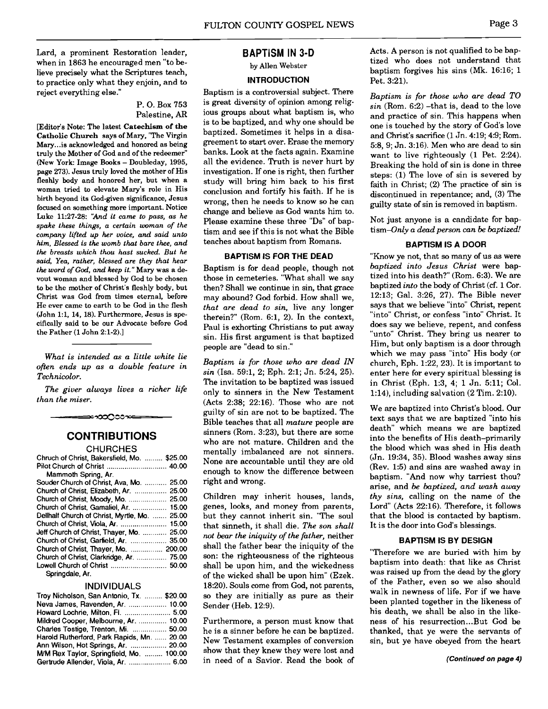Lard, a prominent Restoration leader, when in 1863 he encouraged men "to believe precisely what the Scriptures teach, to practice only what they enjoin, and to reject everything else."

#### P. 0. Box 753 Palestine, **AR**

[Editor's Note: The latest **Catechism of the Catholic Church** says of Mary, "The Virgin Mary... is acknowledged and honored as being truly the Mother of God and of the redeemer" (New York: Image Books - Doubleday, 1995, page 273). Jesus tmly loved the mother of His fleshly body and honored her, but when a woman tried to elevate Mary's role in His birth beyond its God-given significance, Jesus focused on something more important. Notice Luke 11:27-28: *"And it came to pass, as he spake these things, a certain woman of the company lifted up her voice, and said unto him, Blessed is the womb thut bare thee, and the breasts which thou hast sucked. But he said, Yea, rather, blessed are they that hear the word of* **God,** *and keep* it."Mary was a devout woman and blessed by God to be chosen to be the mother of Christ's fleshly body, but Christ was God from times eternal, before He ever came to earth to be God in the flesh (John 1:1, 14, 18). Furthennore, Jesus is specifically said to be our Advocate before God the Father (1 John 2:1-2).]

*What is intended as a little white lie often ends up as a double feature in Technicolor.* 

*The giver always lives a richer life than the miser.* 

# ≕∞೦೦೦ಿ∞

#### **CONTRIBUTIONS CHLIRCHES**

| Chruch of Christ, Bakersfield, Mo.  \$25.00   |  |
|-----------------------------------------------|--|
|                                               |  |
| Mammoth Spring, Ar.                           |  |
| Souder Church of Christ, Ava, Mo.  25.00      |  |
| Church of Christ, Elizabeth, Ar.  25.00       |  |
|                                               |  |
| Church of Christ, Gamaliel, Ar.  15.00        |  |
| Dellhalf Church of Christ, Myrtle, Mo.  25.00 |  |
|                                               |  |
| Jeff Church of Christ, Thayer, Mo.  25.00     |  |
| Church of Christ, Garfield, Ar.  35.00        |  |
| Church of Christ, Thayer, Mo.  200.00         |  |
| Church of Christ, Clarkridge, Ar.  75.00      |  |
|                                               |  |
| Springdale, Ar.                               |  |

#### INDIVIDUALS

| Troy Nicholson, San Antonio, Tx.  \$20.00  |  |
|--------------------------------------------|--|
| Neva James, Ravenden, Ar.  10.00           |  |
| Howard Lochrie, Milton, Fl.  5.00          |  |
| Mildred Cooper, Melbourne, Ar.  10.00      |  |
| Charles Tostige, Trenton, Mi.  50.00       |  |
| Harold Rutherford, Park Rapids, Mn.  20.00 |  |
| Ann Wilson, Hot Springs, Ar.  20.00        |  |
| M/M Rex Taylor, Springfield, Mo.  100.00   |  |
| Gertrude Allender, Viola, Ar.  6.00        |  |

#### **BAPTISM IN 3-D**

by Allen Webster

#### **INTRODUCTION**

Baptism is a controversial subject. There is great diversity of opinion among religious groups about what baptism is, who is to be baptized, and why one should be baptized. Sometimes it helps in a disagreement to start over. Erase the memory banks. Look at the facts again. Examine all the evidence. Truth is never hurt by investigation. If one is right, then further study will bring him back to his first conclusion and fortify his faith. If he is wrong, then he needs to know so he can change and believe as God wants him to. Please examine these three "Ds" of baptism and see if this is not what the Bible teaches about baptism from Romans.

#### **BAPTISM IS FOR THE DEAD**

Baptism is for dead people, though not those in cemeteries. "What shall we say then? Shall we continue in sin, that grace may abound? God forbid. How shall we, *that are dead to sin,* live any longer therein?" (Rom. 6:1, 2). In the context, Paul is exhorting Christians to put away sin. His first argument is that baptized people are "dead to sin."

*Baptism is for those who are dead IN sin* (Isa. 59:1, 2; Eph. 2:l; Jn. 524, 25). The invitation to be baptized was issued only to sinners in the New Testament (Acts 2:38: 22:16). Those who are not guilty of sin are not to be baptized. The Bible teaches that all *mature* people are sinners (Rom. 3:23), but there are some who are not mature. Children and the mentally imbalanced are not sinners. None are accountable until they are old enough to know the difference between right and wrong.

Children may inherit houses, lands, genes, looks, and money from parents, but they cannot inherit sin. "The soul that sinneth, it shall die. *The son shall not bear the iniquity of the fither,* neither shall the father bear the iniquity of the son: the righteousness of the righteous shall be upon him, and the wickedness of the wicked shall be upon him" (Ezek. 18:20). Souls come from God, not parents, so they are initially as pure as their Sender (Heb. 12:9).

Furthermore, a person must know that he is a sinner before he can be baptized. New Testament examples of conversion show that they knew they were lost and in need of a Savior. Read the book of Acts. A person is not qualified to be baptized who does not understand that baptism forgives his sins **(Mk.** 16:16; 1 Pet. 3:21).

*Baptism is for those who are dead TO sin* (Rom. 6:2) -that is, dead to the love and practice of sin. This happens when one is touched by the story of God's love and Christ's sacrifice (1 Jn. 4:19; 4:9; Rorn. 5:8, 9; Jn. 3:16). Men who are dead to sin want to live righteously  $(1$  Pet. 2:24). Breaking the hold of sin is done in three steps: (1) The love of sin is severed by faith in Christ; (2) The practice of sin is discontinued in repentance; and, (3) The guilty state of sin is removed in baptism.

Not just anyone is a candidate for baptism-Only *a dead person can be baptized!* 

#### **BAPTISM IS A DOOR**

"Know ye not, that so many of us as were *baptized into Jesus Christ* were baptized into his death?" (Rom. 6:3). We are baptized *into* the body of Christ **(cf.** 1 Cor. 1213; Gal. 326, 27). The Bible never says that we believe "into" Christ, repent "into" Christ, or confess "into" Christ. It does say we believe, repent, and confess "unto" Christ. They bring us nearer to Him, but only baptism is a door through which we may pass "into" His body (or church, Eph. 1:22,23). It is important to enter here for every spiritual blessing is in Christ (Eph. 1:3, 4; 1 Jn. 5:ll; Col. 1:14), including salvation (2 Tim. 2:lO).

We are baptized into Christ's blood. Our text says that we are baptized "into his death" which means we are baptized into the benefits of His death-primarily the blood which was shed in His death (Jn. 19:34, 35). Blood washes away sins (Rev. 1:5) and sins are washed away in baptism. "And now why tarriest thou? arise, and *be baptized, and wash away thy sins,* calling on the name of the Lord" (Acts 22:16). Therefore, it follows that the blood is contacted by baptism. It is the door into God's blessings.

#### **BAPTISM IS BY DESIGN**

"Therefore we are buried with him by baptism into death: that like as Christ was raised up from the dead by the glory of the Father, even so we also should walk in newness of life. For if we have been planted together in the likeness of his death, we shall be also in the likeness of his resurrection ... But God be thanked, that ye were the servants of sin, but ye have obeyed from the heart